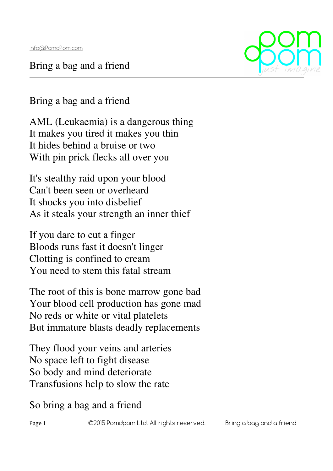Bring a bag and a friend



Bring a bag and a friend

AML (Leukaemia) is a dangerous thing It makes you tired it makes you thin It hides behind a bruise or two With pin prick flecks all over you

It's stealthy raid upon your blood Can't been seen or overheard It shocks you into disbelief As it steals your strength an inner thief

If you dare to cut a finger Bloods runs fast it doesn't linger Clotting is confined to cream You need to stem this fatal stream

The root of this is bone marrow gone bad Your blood cell production has gone mad No reds or white or vital platelets But immature blasts deadly replacements

They flood your veins and arteries No space left to fight disease So body and mind deteriorate Transfusions help to slow the rate

## So bring a bag and a friend

Page 1 C2015 Pomdpom Ltd. All rights reserved. Bring a bag and a friend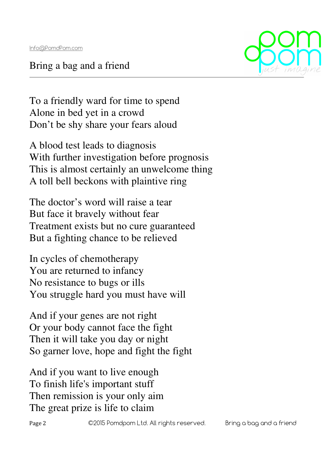Bring a bag and a friend



To a friendly ward for time to spend Alone in bed yet in a crowd Don't be shy share your fears aloud

A blood test leads to diagnosis With further investigation before prognosis This is almost certainly an unwelcome thing A toll bell beckons with plaintive ring

The doctor's word will raise a tear But face it bravely without fear Treatment exists but no cure guaranteed But a fighting chance to be relieved

In cycles of chemotherapy You are returned to infancy No resistance to bugs or ills You struggle hard you must have will

And if your genes are not right Or your body cannot face the fight Then it will take you day or night So garner love, hope and fight the fight

And if you want to live enough To finish life's important stuff Then remission is your only aim The great prize is life to claim

Page 2 C2015 Pomdpom Ltd. All rights reserved. Bring a bag and a friend